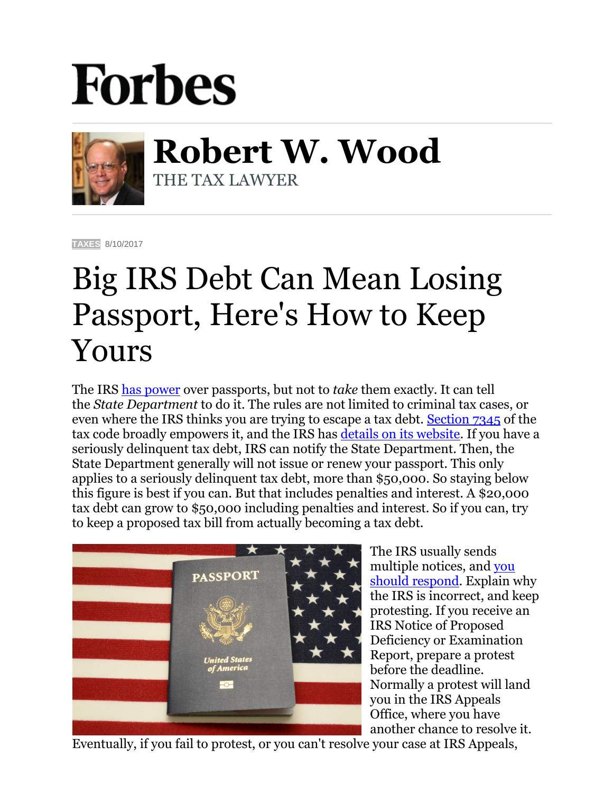## **Forbes**



**Robert W. Wood** THE TAX LAWYER

**[TAXES](https://www.forbes.com/taxes)** 8/10/2017

## Big IRS Debt Can Mean Losing Passport, Here's How to Keep Yours

The IRS [has power](http://www.forbes.com/sites/robertwood/2017/02/02/another-travel-ban-irs-moves-to-revoke-passports-for-unpaid-taxes/#164cac0d7df6) over passports, but not to *take* them exactly. It can tell the *State Department* to do it. The rules are not limited to criminal tax cases, or even where the IRS thinks you are trying to escape a tax debt. [Section 7345](http://uscode.house.gov/view.xhtml?req=(title:26%20section:7345%20edition:prelim)) of the tax code broadly empowers it, and the IRS has [details on its website.](https://www.irs.gov/businesses/small-businesses-self-employed/revocation-or-denial-of-passport-in-case-of-certain-unpaid-taxes) If you have a seriously delinquent tax debt, IRS can notify the State Department. Then, the State Department generally will not issue or renew your passport. This only applies to a seriously delinquent tax debt, more than \$50,000. So staying below this figure is best if you can. But that includes penalties and interest. A \$20,000 tax debt can grow to \$50,000 including penalties and interest. So if you can, try to keep a proposed tax bill from actually becoming a tax debt.



The IRS usually sends multiple notices, and [you](http://www.forbes.com/sites/robertwood/2016/02/24/how-to-respond-to-irs-very-carefully/#5b3984ba7023)  [should respond.](http://www.forbes.com/sites/robertwood/2016/02/24/how-to-respond-to-irs-very-carefully/#5b3984ba7023) Explain why the IRS is incorrect, and keep protesting. If you receive an IRS Notice of Proposed Deficiency or Examination Report, prepare a protest before the deadline. Normally a protest will land you in the IRS Appeals Office, where you have another chance to resolve it.

Eventually, if you fail to protest, or you can't resolve your case at IRS Appeals,